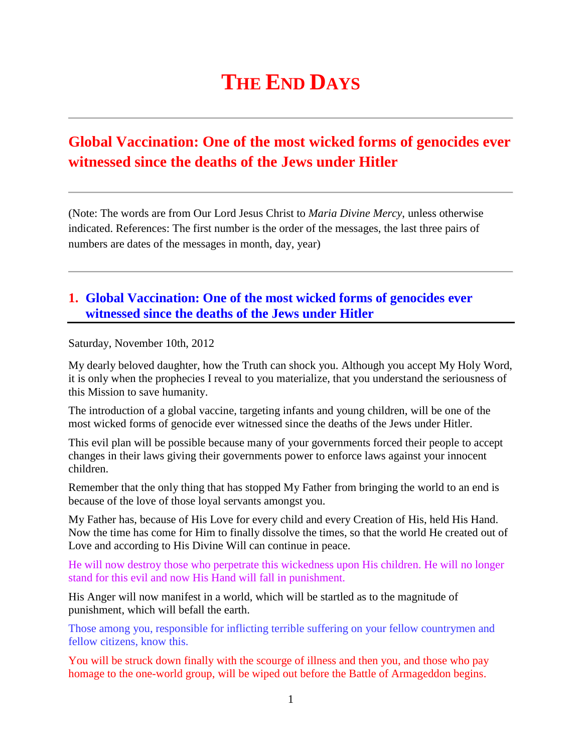# **THE END DAYS**

# **Global Vaccination: One of the most wicked forms of genocides ever witnessed since the deaths of the Jews under Hitler**

(Note: The words are from Our Lord Jesus Christ to *Maria Divine Mercy*, unless otherwise indicated. References: The first number is the order of the messages, the last three pairs of numbers are dates of the messages in month, day, year)

## **1. [Global Vaccination: One of the most wicked forms of genocides ever](http://www.thewarningsecondcoming.com/global-vaccination-one-of-the-most-wicked-forms-of-genocides-ever-witnessed-since-the-deaths-of-the-jews-under-hitler/)  [witnessed since the deaths of the Jews under Hitler](http://www.thewarningsecondcoming.com/global-vaccination-one-of-the-most-wicked-forms-of-genocides-ever-witnessed-since-the-deaths-of-the-jews-under-hitler/)**

Saturday, November 10th, 2012

My dearly beloved daughter, how the Truth can shock you. Although you accept My Holy Word, it is only when the prophecies I reveal to you materialize, that you understand the seriousness of this Mission to save humanity.

The introduction of a global vaccine, targeting infants and young children, will be one of the most wicked forms of genocide ever witnessed since the deaths of the Jews under Hitler.

This evil plan will be possible because many of your governments forced their people to accept changes in their laws giving their governments power to enforce laws against your innocent children.

Remember that the only thing that has stopped My Father from bringing the world to an end is because of the love of those loyal servants amongst you.

My Father has, because of His Love for every child and every Creation of His, held His Hand. Now the time has come for Him to finally dissolve the times, so that the world He created out of Love and according to His Divine Will can continue in peace.

He will now destroy those who perpetrate this wickedness upon His children. He will no longer stand for this evil and now His Hand will fall in punishment.

His Anger will now manifest in a world, which will be startled as to the magnitude of punishment, which will befall the earth.

Those among you, responsible for inflicting terrible suffering on your fellow countrymen and fellow citizens, know this.

You will be struck down finally with the scourge of illness and then you, and those who pay homage to the one-world group, will be wiped out before the Battle of Armageddon begins.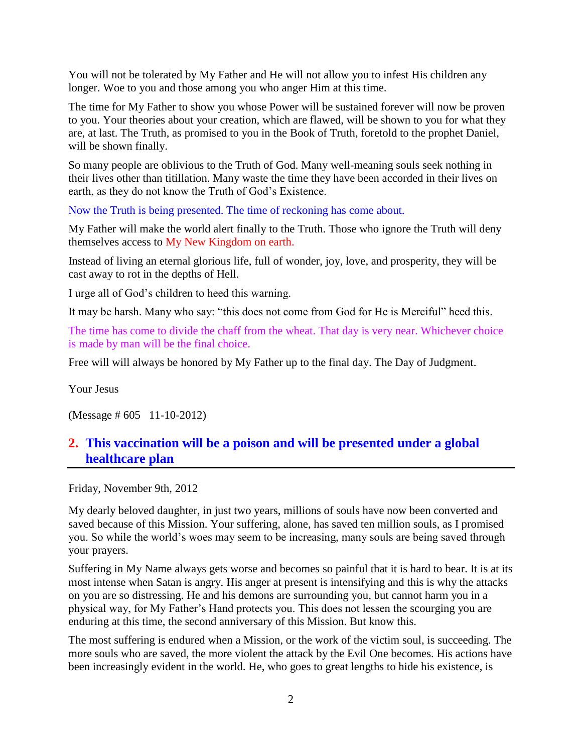You will not be tolerated by My Father and He will not allow you to infest His children any longer. Woe to you and those among you who anger Him at this time.

The time for My Father to show you whose Power will be sustained forever will now be proven to you. Your theories about your creation, which are flawed, will be shown to you for what they are, at last. The Truth, as promised to you in the Book of Truth, foretold to the prophet Daniel, will be shown finally.

So many people are oblivious to the Truth of God. Many well-meaning souls seek nothing in their lives other than titillation. Many waste the time they have been accorded in their lives on earth, as they do not know the Truth of God's Existence.

Now the Truth is being presented. The time of reckoning has come about.

My Father will make the world alert finally to the Truth. Those who ignore the Truth will deny themselves access to My New Kingdom on earth.

Instead of living an eternal glorious life, full of wonder, joy, love, and prosperity, they will be cast away to rot in the depths of Hell.

I urge all of God's children to heed this warning.

It may be harsh. Many who say: "this does not come from God for He is Merciful" heed this.

The time has come to divide the chaff from the wheat. That day is very near. Whichever choice is made by man will be the final choice.

Free will will always be honored by My Father up to the final day. The Day of Judgment.

Your Jesus

(Message # 605 11-10-2012)

# **2. [This vaccination will be a poison and will be presented under a global](http://www.thewarningsecondcoming.com/this-vaccination-will-be-a-poison-and-will-be-presented-under-a-global-healthcare-plan/)  [healthcare plan](http://www.thewarningsecondcoming.com/this-vaccination-will-be-a-poison-and-will-be-presented-under-a-global-healthcare-plan/)**

Friday, November 9th, 2012

My dearly beloved daughter, in just two years, millions of souls have now been converted and saved because of this Mission. Your suffering, alone, has saved ten million souls, as I promised you. So while the world's woes may seem to be increasing, many souls are being saved through your prayers.

Suffering in My Name always gets worse and becomes so painful that it is hard to bear. It is at its most intense when Satan is angry. His anger at present is intensifying and this is why the attacks on you are so distressing. He and his demons are surrounding you, but cannot harm you in a physical way, for My Father's Hand protects you. This does not lessen the scourging you are enduring at this time, the second anniversary of this Mission. But know this.

The most suffering is endured when a Mission, or the work of the victim soul, is succeeding. The more souls who are saved, the more violent the attack by the Evil One becomes. His actions have been increasingly evident in the world. He, who goes to great lengths to hide his existence, is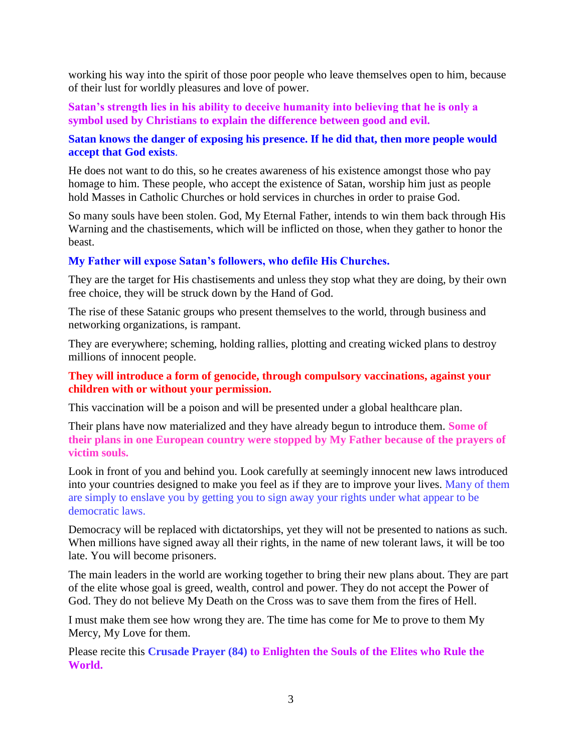working his way into the spirit of those poor people who leave themselves open to him, because of their lust for worldly pleasures and love of power.

**Satan's strength lies in his ability to deceive humanity into believing that he is only a symbol used by Christians to explain the difference between good and evil.**

#### **Satan knows the danger of exposing his presence. If he did that, then more people would accept that God exists**.

He does not want to do this, so he creates awareness of his existence amongst those who pay homage to him. These people, who accept the existence of Satan, worship him just as people hold Masses in Catholic Churches or hold services in churches in order to praise God.

So many souls have been stolen. God, My Eternal Father, intends to win them back through His Warning and the chastisements, which will be inflicted on those, when they gather to honor the beast.

#### **My Father will expose Satan's followers, who defile His Churches.**

They are the target for His chastisements and unless they stop what they are doing, by their own free choice, they will be struck down by the Hand of God.

The rise of these Satanic groups who present themselves to the world, through business and networking organizations, is rampant.

They are everywhere; scheming, holding rallies, plotting and creating wicked plans to destroy millions of innocent people.

#### **They will introduce a form of genocide, through compulsory vaccinations, against your children with or without your permission.**

This vaccination will be a poison and will be presented under a global healthcare plan.

Their plans have now materialized and they have already begun to introduce them. **Some of their plans in one European country were stopped by My Father because of the prayers of victim souls.**

Look in front of you and behind you. Look carefully at seemingly innocent new laws introduced into your countries designed to make you feel as if they are to improve your lives. Many of them are simply to enslave you by getting you to sign away your rights under what appear to be democratic laws.

Democracy will be replaced with dictatorships, yet they will not be presented to nations as such. When millions have signed away all their rights, in the name of new tolerant laws, it will be too late. You will become prisoners.

The main leaders in the world are working together to bring their new plans about. They are part of the elite whose goal is greed, wealth, control and power. They do not accept the Power of God. They do not believe My Death on the Cross was to save them from the fires of Hell.

I must make them see how wrong they are. The time has come for Me to prove to them My Mercy, My Love for them.

Please recite this **Crusade Prayer (84) to Enlighten the Souls of the Elites who Rule the World.**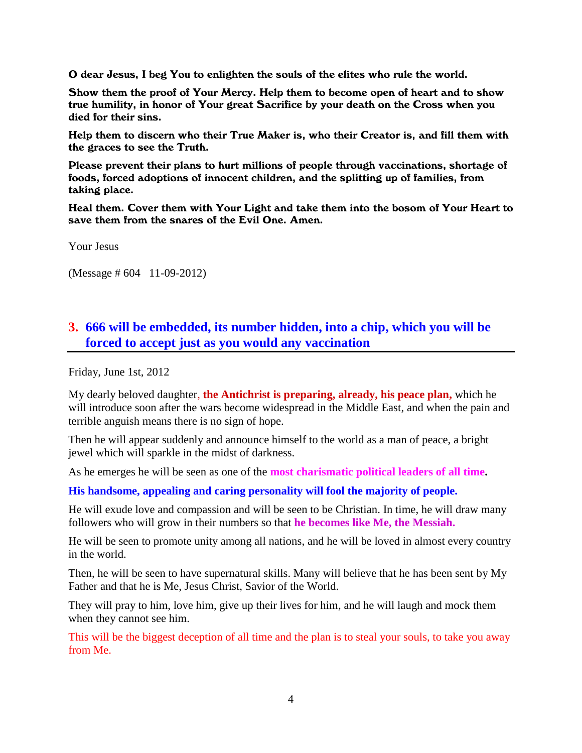O dear Jesus, I beg You to enlighten the souls of the elites who rule the world.

Show them the proof of Your Mercy. Help them to become open of heart and to show true humility, in honor of Your great Sacrifice by your death on the Cross when you died for their sins.

Help them to discern who their True Maker is, who their Creator is, and fill them with the graces to see the Truth.

Please prevent their plans to hurt millions of people through vaccinations, shortage of foods, forced adoptions of innocent children, and the splitting up of families, from taking place.

Heal them. Cover them with Your Light and take them into the bosom of Your Heart to save them from the snares of the Evil One. Amen.

Your Jesus

(Message # 604 11-09-2012)

### **3. [666 will be embedded, its number hidden, into a chip,](http://www.thewarningsecondcoming.com/666-will-be-embedded-its-number-hidden-into-a-chip-which-you-will-be-forced-to-accept-just-as-you-would-any-vaccination/) which you will be [forced to accept just as you would any vaccination](http://www.thewarningsecondcoming.com/666-will-be-embedded-its-number-hidden-into-a-chip-which-you-will-be-forced-to-accept-just-as-you-would-any-vaccination/)**

Friday, June 1st, 2012

My dearly beloved daughter, **the Antichrist is preparing, already, his peace plan,** which he will introduce soon after the wars become widespread in the Middle East, and when the pain and terrible anguish means there is no sign of hope.

Then he will appear suddenly and announce himself to the world as a man of peace, a bright jewel which will sparkle in the midst of darkness.

As he emerges he will be seen as one of the **most charismatic political leaders of all time.**

**His handsome, appealing and caring personality will fool the majority of people.**

He will exude love and compassion and will be seen to be Christian. In time, he will draw many followers who will grow in their numbers so that **he becomes like Me, the Messiah.**

He will be seen to promote unity among all nations, and he will be loved in almost every country in the world.

Then, he will be seen to have supernatural skills. Many will believe that he has been sent by My Father and that he is Me, Jesus Christ, Savior of the World.

They will pray to him, love him, give up their lives for him, and he will laugh and mock them when they cannot see him.

This will be the biggest deception of all time and the plan is to steal your souls, to take you away from Me.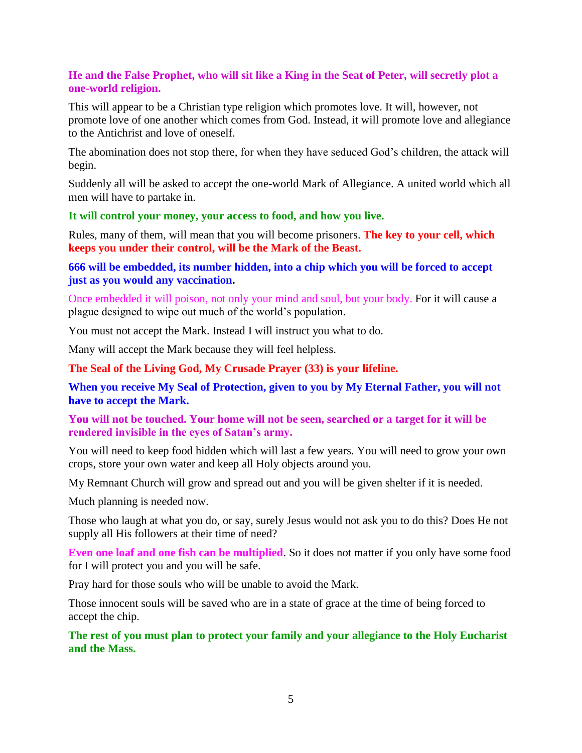#### **He and the False Prophet, who will sit like a King in the Seat of Peter, will secretly plot a one-world religion.**

This will appear to be a Christian type religion which promotes love. It will, however, not promote love of one another which comes from God. Instead, it will promote love and allegiance to the Antichrist and love of oneself.

The abomination does not stop there, for when they have seduced God's children, the attack will begin.

Suddenly all will be asked to accept the one-world Mark of Allegiance. A united world which all men will have to partake in.

#### **It will control your money, your access to food, and how you live.**

Rules, many of them, will mean that you will become prisoners. **The key to your cell, which keeps you under their control, will be the Mark of the Beast.**

#### **666 will be embedded, its number hidden, into a chip which you will be forced to accept just as you would any vaccination.**

Once embedded it will poison, not only your mind and soul, but your body. For it will cause a plague designed to wipe out much of the world's population.

You must not accept the Mark. Instead I will instruct you what to do.

Many will accept the Mark because they will feel helpless.

**[The Seal of the Living God, My Crusade Prayer \(33\) is your lifeline.](http://www.thewarningsecondcoming.com/crusade-prayer-33-rise-now-and-accept-the-seal-of-the-living-god/)**

**When you receive My Seal of Protection, given to you by My Eternal Father, you will not have to accept the Mark.**

**You will not be touched. Your home will not be seen, searched or a target for it will be rendered invisible in the eyes of Satan's army.**

You will need to keep food hidden which will last a few years. You will need to grow your own crops, store your own water and keep all Holy objects around you.

My Remnant Church will grow and spread out and you will be given shelter if it is needed.

Much planning is needed now.

Those who laugh at what you do, or say, surely Jesus would not ask you to do this? Does He not supply all His followers at their time of need?

**Even one loaf and one fish can be multiplied**. So it does not matter if you only have some food for I will protect you and you will be safe.

Pray hard for those souls who will be unable to avoid the Mark.

Those innocent souls will be saved who are in a state of grace at the time of being forced to accept the chip.

**The rest of you must plan to protect your family and your allegiance to the Holy Eucharist and the Mass.**